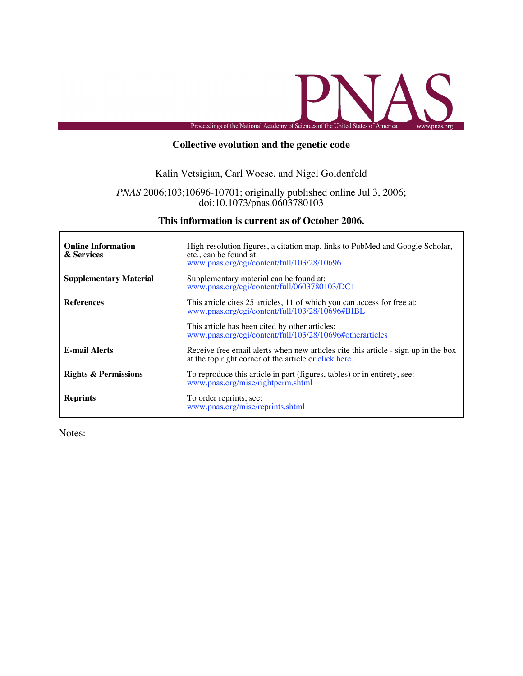

## **Collective evolution and the genetic code**

## Kalin Vetsigian, Carl Woese, and Nigel Goldenfeld

## doi:10.1073/pnas.0603780103 *PNAS* 2006;103;10696-10701; originally published online Jul 3, 2006;

# **This information is current as of October 2006.**

| <b>Online Information</b><br>& Services | High-resolution figures, a citation map, links to PubMed and Google Scholar,<br>etc., can be found at:<br>www.pnas.org/cgi/content/full/103/28/10696 |
|-----------------------------------------|------------------------------------------------------------------------------------------------------------------------------------------------------|
| <b>Supplementary Material</b>           | Supplementary material can be found at:<br>www.pnas.org/cgi/content/full/0603780103/DC1                                                              |
| <b>References</b>                       | This article cites 25 articles, 11 of which you can access for free at:<br>www.pnas.org/cgi/content/full/103/28/10696#BIBL                           |
|                                         | This article has been cited by other articles:<br>www.pnas.org/cgi/content/full/103/28/10696#otherarticles                                           |
| <b>E-mail Alerts</b>                    | Receive free email alerts when new articles cite this article - sign up in the box<br>at the top right corner of the article or click here.          |
| <b>Rights &amp; Permissions</b>         | To reproduce this article in part (figures, tables) or in entirety, see:<br>www.pnas.org/misc/rightperm.shtml                                        |
| <b>Reprints</b>                         | To order reprints, see:<br>www.pnas.org/misc/reprints.shtml                                                                                          |

Notes: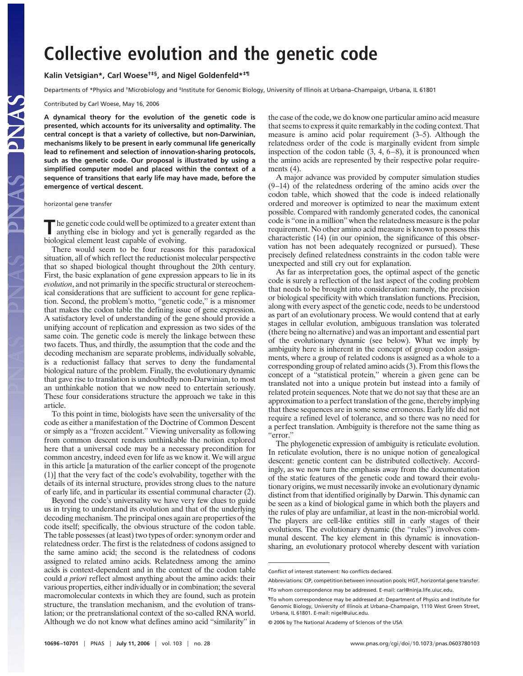# **Collective evolution and the genetic code**

**Kalin Vetsigian\*, Carl Woese†‡§, and Nigel Goldenfeld\*‡¶**

Departments of \*Physics and †Microbiology and ‡Institute for Genomic Biology, University of Illinois at Urbana–Champaign, Urbana, IL 61801

Contributed by Carl Woese, May 16, 2006

**A dynamical theory for the evolution of the genetic code is presented, which accounts for its universality and optimality. The central concept is that a variety of collective, but non-Darwinian, mechanisms likely to be present in early communal life generically lead to refinement and selection of innovation-sharing protocols, such as the genetic code. Our proposal is illustrated by using a simplified computer model and placed within the context of a sequence of transitions that early life may have made, before the emergence of vertical descent.**

horizontal gene transfer

The genetic code could well be optimized to a greater extent than anything else in biology and yet is generally regarded as the biological element least capable of evolving.

There would seem to be four reasons for this paradoxical situation, all of which reflect the reductionist molecular perspective that so shaped biological thought throughout the 20th century. First, the basic explanation of gene expression appears to lie in its *evolution*, and not primarily in the specific structural or stereochemical considerations that are sufficient to account for gene replication. Second, the problem's motto, ''genetic code,'' is a misnomer that makes the codon table the defining issue of gene expression. A satisfactory level of understanding of the gene should provide a unifying account of replication and expression as two sides of the same coin. The genetic code is merely the linkage between these two facets. Thus, and thirdly, the assumption that the code and the decoding mechanism are separate problems, individually solvable, is a reductionist fallacy that serves to deny the fundamental biological nature of the problem. Finally, the evolutionary dynamic that gave rise to translation is undoubtedly non-Darwinian, to most an unthinkable notion that we now need to entertain seriously. These four considerations structure the approach we take in this article.

To this point in time, biologists have seen the universality of the code as either a manifestation of the Doctrine of Common Descent or simply as a ''frozen accident.'' Viewing universality as following from common descent renders unthinkable the notion explored here that a universal code may be a necessary precondition for common ancestry, indeed even for life as we know it. We will argue in this article [a maturation of the earlier concept of the progenote (1)] that the very fact of the code's evolvability, together with the details of its internal structure, provides strong clues to the nature of early life, and in particular its essential communal character (2).

Beyond the code's universality we have very few clues to guide us in trying to understand its evolution and that of the underlying decoding mechanism. The principal ones again are properties of the code itself; specifically, the obvious structure of the codon table. The table possesses (at least) two types of order: synonym order and relatedness order. The first is the relatedness of codons assigned to the same amino acid; the second is the relatedness of codons assigned to related amino acids. Relatedness among the amino acids is context-dependent and in the context of the codon table could *a priori* reflect almost anything about the amino acids: their various properties, either individually or in combination; the several macromolecular contexts in which they are found, such as protein structure, the translation mechanism, and the evolution of translation; or the pretranslational context of the so-called RNA world. Although we do not know what defines amino acid ''similarity'' in the case of the code,we do knowone particular amino acid measure that seems to express it quite remarkably in the coding context. That measure is amino acid polar requirement (3–5). Although the relatedness order of the code is marginally evident from simple inspection of the codon table  $(3, 4, 6-8)$ , it is pronounced when the amino acids are represented by their respective polar requirements (4).

A major advance was provided by computer simulation studies (9–14) of the relatedness ordering of the amino acids over the codon table, which showed that the code is indeed relationally ordered and moreover is optimized to near the maximum extent possible. Compared with randomly generated codes, the canonical code is''one in a million'' when the relatedness measure isthe polar requirement. No other amino acid measure is known to possess this characteristic (14) (in our opinion, the significance of this observation has not been adequately recognized or pursued). These precisely defined relatedness constraints in the codon table were unexpected and still cry out for explanation.

As far as interpretation goes, the optimal aspect of the genetic code is surely a reflection of the last aspect of the coding problem that needs to be brought into consideration: namely, the precision or biological specificity with which translation functions. Precision, along with every aspect of the genetic code, needs to be understood as part of an evolutionary process. We would contend that at early stages in cellular evolution, ambiguous translation was tolerated (there being no alternative) and was an important and essential part of the evolutionary dynamic (see below). What we imply by ambiguity here is inherent in the concept of group codon assignments, where a group of related codons is assigned as a whole to a corresponding group of related amino acids (3). From this flows the concept of a ''statistical protein,'' wherein a given gene can be translated not into a unique protein but instead into a family of related protein sequences. Note that we do not say that these are an approximation to a perfect translation of the gene, thereby implying that these sequences are in some sense erroneous. Early life did not require a refined level of tolerance, and so there was no need for a perfect translation. Ambiguity is therefore not the same thing as ''error.''

The phylogenetic expression of ambiguity is reticulate evolution. In reticulate evolution, there is no unique notion of genealogical descent: genetic content can be distributed collectively. Accordingly, as we now turn the emphasis away from the documentation of the static features of the genetic code and toward their evolutionary origins, we must necessarily invoke an evolutionary dynamic distinct from that identified originally by Darwin. This dynamic can be seen as a kind of biological game in which both the players and the rules of play are unfamiliar, at least in the non-microbial world. The players are cell-like entities still in early stages of their evolutions. The evolutionary dynamic (the ''rules'') involves communal descent. The key element in this dynamic is innovationsharing, an evolutionary protocol whereby descent with variation

Conflict of interest statement: No conflicts declared.

Abbreviations: CIP, competition between innovation pools; HGT, horizontal gene transfer.

<sup>§</sup>To whom correspondence may be addressed. E-mail: carl@ninja.life.uiuc.edu.

<sup>¶</sup>To whom correspondence may be addressed at: Department of Physics and Institute for Genomic Biology, University of Illinois at Urbana–Champaign, 1110 West Green Street, Urbana, IL 61801. E-mail: nigel@uiuc.edu.

<sup>©</sup> 2006 by The National Academy of Sciences of the USA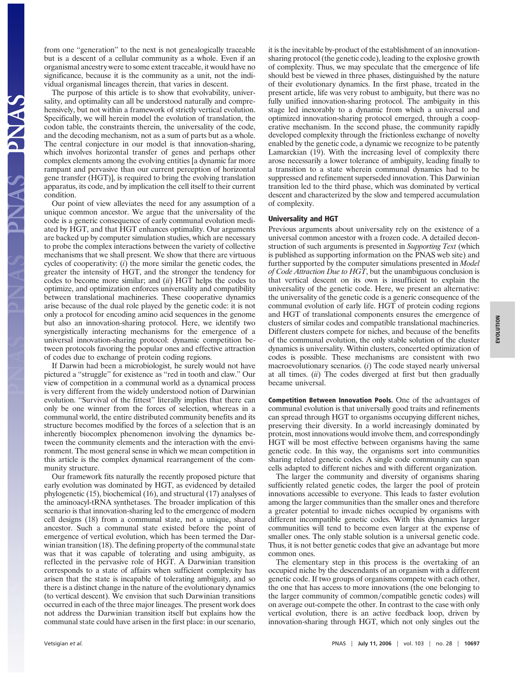from one ''generation'' to the next is not genealogically traceable but is a descent of a cellular community as a whole. Even if an organismal ancestrywere to some extent traceable, itwould have no significance, because it is the community as a unit, not the individual organismal lineages therein, that varies in descent.

The purpose of this article is to show that evolvability, universality, and optimality can all be understood naturally and comprehensively, but not within a framework of strictly vertical evolution. Specifically, we will herein model the evolution of translation, the codon table, the constraints therein, the universality of the code, and the decoding mechanism, not as a sum of parts but as a whole. The central conjecture in our model is that innovation-sharing, which involves horizontal transfer of genes and perhaps other complex elements among the evolving entities [a dynamic far more rampant and pervasive than our current perception of horizontal gene transfer (HGT)], is required to bring the evolving translation apparatus, its code, and by implication the cell itself to their current condition.

ANA.

Our point of view alleviates the need for any assumption of a unique common ancestor. We argue that the universality of the code is a generic consequence of early communal evolution mediated by HGT, and that HGT enhances optimality. Our arguments are backed up by computer simulation studies, which are necessary to probe the complex interactions between the variety of collective mechanisms that we shall present. We show that there are virtuous cycles of cooperativity: (*i*) the more similar the genetic codes, the greater the intensity of HGT, and the stronger the tendency for codes to become more similar; and (*ii*) HGT helps the codes to optimize, and optimization enforces universality and compatibility between translational machineries. These cooperative dynamics arise because of the dual role played by the genetic code: it is not only a protocol for encoding amino acid sequences in the genome but also an innovation-sharing protocol. Here, we identify two synergistically interacting mechanisms for the emergence of a universal innovation-sharing protocol: dynamic competition between protocols favoring the popular ones and effective attraction of codes due to exchange of protein coding regions.

If Darwin had been a microbiologist, he surely would not have pictured a ''struggle'' for existence as ''red in tooth and claw.'' Our view of competition in a communal world as a dynamical process is very different from the widely understood notion of Darwinian evolution. ''Survival of the fittest'' literally implies that there can only be one winner from the forces of selection, whereas in a communal world, the entire distributed community benefits and its structure becomes modified by the forces of a selection that is an inherently biocomplex phenomenon involving the dynamics between the community elements and the interaction with the environment. The most general sense in which we mean competition in this article is the complex dynamical rearrangement of the community structure.

Our framework fits naturally the recently proposed picture that early evolution was dominated by HGT, as evidenced by detailed phylogenetic (15), biochemical (16), and structural (17) analyses of the aminoacyl-tRNA synthetases. The broader implication of this scenario is that innovation-sharing led to the emergence of modern cell designs (18) from a communal state, not a unique, shared ancestor. Such a communal state existed before the point of emergence of vertical evolution, which has been termed the Darwinian transition  $(18)$ . The defining property of the communal state was that it was capable of tolerating and using ambiguity, as reflected in the pervasive role of HGT. A Darwinian transition corresponds to a state of affairs when sufficient complexity has arisen that the state is incapable of tolerating ambiguity, and so there is a distinct change in the nature of the evolutionary dynamics (to vertical descent). We envision that such Darwinian transitions occurred in each of the three major lineages. The present work does not address the Darwinian transition itself but explains how the communal state could have arisen in the first place: in our scenario,

it isthe inevitable by-product of the establishment of an innovationsharing protocol (the genetic code), leading to the explosive growth of complexity. Thus, we may speculate that the emergence of life should best be viewed in three phases, distinguished by the nature of their evolutionary dynamics. In the first phase, treated in the present article, life was very robust to ambiguity, but there was no fully unified innovation-sharing protocol. The ambiguity in this stage led inexorably to a dynamic from which a universal and optimized innovation-sharing protocol emerged, through a cooperative mechanism. In the second phase, the community rapidly developed complexity through the frictionless exchange of novelty enabled by the genetic code, a dynamic we recognize to be patently Lamarckian (19). With the increasing level of complexity there arose necessarily a lower tolerance of ambiguity, leading finally to a transition to a state wherein communal dynamics had to be suppressed and refinement superseded innovation. This Darwinian transition led to the third phase, which was dominated by vertical descent and characterized by the slow and tempered accumulation of complexity.

### Universality and HGT

Previous arguments about universality rely on the existence of a universal common ancestor with a frozen code. A detailed deconstruction of such arguments is presented in *Supporting Text* (which is published as supporting information on the PNAS web site) and further supported by the computer simulations presented in *Model of Code Attraction Due to HGT*, but the unambiguous conclusion is that vertical descent on its own is insufficient to explain the universality of the genetic code. Here, we present an alternative: the universality of the genetic code is a generic consequence of the communal evolution of early life. HGT of protein coding regions and HGT of translational components ensures the emergence of clusters of similar codes and compatible translational machineries. Different clusters compete for niches, and because of the benefits of the communal evolution, the only stable solution of the cluster dynamics is universality. Within clusters, concerted optimization of codes is possible. These mechanisms are consistent with two macroevolutionary scenarios. (*i*) The code stayed nearly universal at all times. (*ii*) The codes diverged at first but then gradually became universal.

Competition Between Innovation Pools. One of the advantages of communal evolution is that universally good traits and refinements can spread through HGT to organisms occupying different niches, preserving their diversity. In a world increasingly dominated by protein, most innovations would involve them, and correspondingly HGT will be most effective between organisms having the same genetic code. In this way, the organisms sort into communities sharing related genetic codes. A single code community can span cells adapted to different niches and with different organization.

The larger the community and diversity of organisms sharing sufficiently related genetic codes, the larger the pool of protein innovations accessible to everyone. This leads to faster evolution among the larger communities than the smaller ones and therefore a greater potential to invade niches occupied by organisms with different incompatible genetic codes. With this dynamics larger communities will tend to become even larger at the expense of smaller ones. The only stable solution is a universal genetic code. Thus, it is not better genetic codes that give an advantage but more common ones.

The elementary step in this process is the overtaking of an occupied niche by the descendants of an organism with a different genetic code. If two groups of organisms compete with each other, the one that has access to more innovations (the one belonging to the larger community of common/compatible genetic codes) will on average out-compete the other. In contrast to the case with only vertical evolution, there is an active feedback loop, driven by innovation-sharing through HGT, which not only singles out the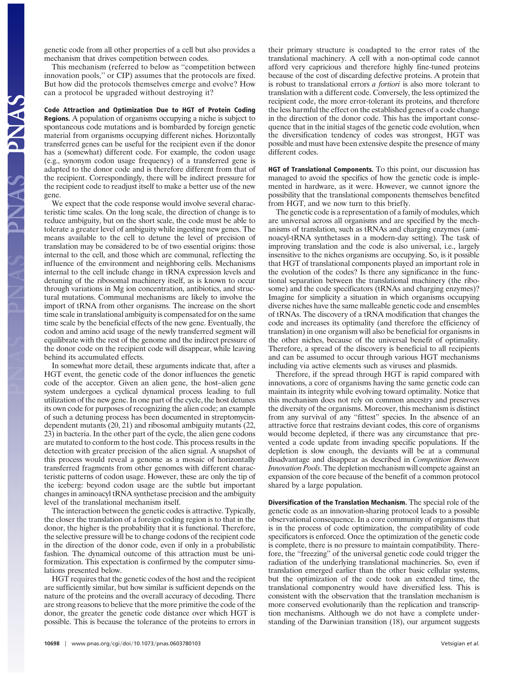genetic code from all other properties of a cell but also provides a mechanism that drives competition between codes.

This mechanism (referred to below as ''competition between innovation pools,'' or CIP) assumes that the protocols are fixed. But how did the protocols themselves emerge and evolve? How can a protocol be upgraded without destroying it?

Code Attraction and Optimization Due to HGT of Protein Coding Regions. A population of organisms occupying a niche is subject to spontaneous code mutations and is bombarded by foreign genetic material from organisms occupying different niches. Horizontally transferred genes can be useful for the recipient even if the donor has a (somewhat) different code. For example, the codon usage (e.g., synonym codon usage frequency) of a transferred gene is adapted to the donor code and is therefore different from that of the recipient. Correspondingly, there will be indirect pressure for the recipient code to readjust itself to make a better use of the new gene.

We expect that the code response would involve several characteristic time scales. On the long scale, the direction of change is to reduce ambiguity, but on the short scale, the code must be able to tolerate a greater level of ambiguity while ingesting new genes. The means available to the cell to detune the level of precision of translation may be considered to be of two essential origins: those internal to the cell, and those which are communal, reflecting the influence of the environment and neighboring cells. Mechanisms internal to the cell include change in tRNA expression levels and detuning of the ribosomal machinery itself, as is known to occur through variations in Mg ion concentration, antibiotics, and structural mutations. Communal mechanisms are likely to involve the import of tRNA from other organisms. The increase on the short time scale in translational ambiguity is compensated for on the same time scale by the beneficial effects of the new gene. Eventually, the codon and amino acid usage of the newly transferred segment will equilibrate with the rest of the genome and the indirect pressure of the donor code on the recipient code will disappear, while leaving behind its accumulated effects.

In somewhat more detail, these arguments indicate that, after a HGT event, the genetic code of the donor influences the genetic code of the acceptor. Given an alien gene, the host–alien gene system undergoes a cyclical dynamical process leading to full utilization of the new gene.In one part of the cycle, the host detunes its own code for purposes of recognizing the alien code; an example of such a detuning process has been documented in streptomycindependent mutants (20, 21) and ribosomal ambiguity mutants (22, 23) in bacteria. In the other part of the cycle, the alien gene codons are mutated to conform to the host code. This process results in the detection with greater precision of the alien signal. A snapshot of this process would reveal a genome as a mosaic of horizontally transferred fragments from other genomes with different characteristic patterns of codon usage. However, these are only the tip of the iceberg: beyond codon usage are the subtle but important changes in aminoacyl tRNA synthetase precision and the ambiguity level of the translational mechanism itself.

The interaction between the genetic codes is attractive. Typically, the closer the translation of a foreign coding region is to that in the donor, the higher is the probability that it is functional. Therefore, the selective pressure will be to change codons of the recipient code in the direction of the donor code, even if only in a probabilistic fashion. The dynamical outcome of this attraction must be uniformization. This expectation is confirmed by the computer simulations presented below.

HGT requires that the genetic codes of the host and the recipient are sufficiently similar, but how similar is sufficient depends on the nature of the proteins and the overall accuracy of decoding. There are strong reasonsto believe that the more primitive the code of the donor, the greater the genetic code distance over which HGT is possible. This is because the tolerance of the proteins to errors in their primary structure is coadapted to the error rates of the translational machinery. A cell with a non-optimal code cannot afford very capricious and therefore highly fine-tuned proteins because of the cost of discarding defective proteins. A protein that is robust to translational errors *a fortiori* is also more tolerant to translation with a different code. Conversely, the less optimized the recipient code, the more error-tolerant its proteins, and therefore the less harmful the effect on the established genes of a code change in the direction of the donor code. This has the important consequence that in the initial stages of the genetic code evolution, when the diversification tendency of codes was strongest, HGT was possible and must have been extensive despite the presence of many different codes.

HGT of Translational Components. To this point, our discussion has managed to avoid the specifics of how the genetic code is implemented in hardware, as it were. However, we cannot ignore the possibility that the translational components themselves benefited from HGT, and we now turn to this briefly.

The genetic code is a representation of a family of modules, which are universal across all organisms and are specified by the mechanisms of translation, such as tRNAs and charging enzymes (aminoacyl-tRNA synthetases in a modern-day setting). The task of improving translation and the code is also universal, i.e., largely insensitive to the niches organisms are occupying. So, is it possible that HGT of translational components played an important role in the evolution of the codes? Is there any significance in the functional separation between the translational machinery (the ribosome) and the code specificators (tRNAs and charging enzymes)? Imagine for simplicity a situation in which organisms occupying diverse niches have the same malleable genetic code and ensembles of tRNAs. The discovery of a tRNA modification that changes the code and increases its optimality (and therefore the efficiency of translation) in one organism will also be beneficial for organisms in the other niches, because of the universal benefit of optimality. Therefore, a spread of the discovery is beneficial to all recipients and can be assumed to occur through various HGT mechanisms including via active elements such as viruses and plasmids.

Therefore, if the spread through HGT is rapid compared with innovations, a core of organisms having the same genetic code can maintain its integrity while evolving toward optimality. Notice that this mechanism does not rely on common ancestry and preserves the diversity of the organisms. Moreover, this mechanism is distinct from any survival of any "fittest" species. In the absence of an attractive force that restrains deviant codes, this core of organisms would become depleted, if there was any circumstance that prevented a code update from invading specific populations. If the depletion is slow enough, the deviants will be at a communal disadvantage and disappear as described in *Competition Between Innovation Pools*.The depletion mechanism will compete against an expansion of the core because of the benefit of a common protocol shared by a large population.

Diversification of the Translation Mechanism. The special role of the genetic code as an innovation-sharing protocol leads to a possible observational consequence. In a core community of organisms that is in the process of code optimization, the compatibility of code specificators is enforced. Once the optimization of the genetic code is complete, there is no pressure to maintain compatibility. Therefore, the ''freezing'' of the universal genetic code could trigger the radiation of the underlying translational machineries. So, even if translation emerged earlier than the other basic cellular systems, but the optimization of the code took an extended time, the translational componentry would have diversified less. This is consistent with the observation that the translation mechanism is more conserved evolutionarily than the replication and transcription mechanisms. Although we do not have a complete understanding of the Darwinian transition (18), our argument suggests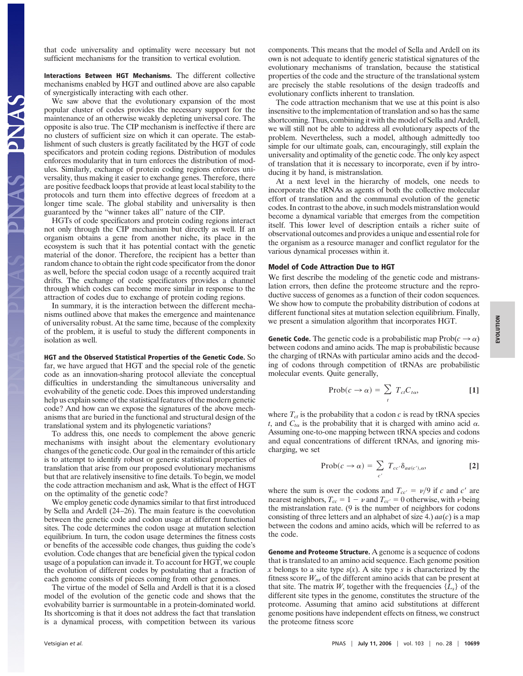that code universality and optimality were necessary but not sufficient mechanisms for the transition to vertical evolution.

Interactions Between HGT Mechanisms. The different collective mechanisms enabled by HGT and outlined above are also capable of synergistically interacting with each other.

We saw above that the evolutionary expansion of the most popular cluster of codes provides the necessary support for the maintenance of an otherwise weakly depleting universal core. The opposite is also true. The CIP mechanism is ineffective if there are no clusters of sufficient size on which it can operate. The establishment of such clusters is greatly facilitated by the HGT of code specificators and protein coding regions. Distribution of modules enforces modularity that in turn enforces the distribution of modules. Similarly, exchange of protein coding regions enforces universality, thus making it easier to exchange genes. Therefore, there are positive feedback loops that provide at least local stability to the protocols and turn them into effective degrees of freedom at a longer time scale. The global stability and universality is then guaranteed by the ''winner takes all'' nature of the CIP.

**ANA** 

HGTs of code specificators and protein coding regions interact not only through the CIP mechanism but directly as well. If an organism obtains a gene from another niche, its place in the ecosystem is such that it has potential contact with the genetic material of the donor. Therefore, the recipient has a better than random chance to obtain the right code specificator from the donor as well, before the special codon usage of a recently acquired trait drifts. The exchange of code specificators provides a channel through which codes can become more similar in response to the attraction of codes due to exchange of protein coding regions.

In summary, it is the interaction between the different mechanisms outlined above that makes the emergence and maintenance of universality robust. At the same time, because of the complexity of the problem, it is useful to study the different components in isolation as well.

HGT and the Observed Statistical Properties of the Genetic Code. So far, we have argued that HGT and the special role of the genetic code as an innovation-sharing protocol alleviate the conceptual difficulties in understanding the simultaneous universality and evolvability of the genetic code. Does this improved understanding help us explain some of the statistical features of the modern genetic code? And how can we expose the signatures of the above mechanisms that are buried in the functional and structural design of the translational system and its phylogenetic variations?

To address this, one needs to complement the above generic mechanisms with insight about the elementary evolutionary changes of the genetic code. Our goal in the remainder of this article is to attempt to identify robust or generic statistical properties of translation that arise from our proposed evolutionary mechanisms but that are relatively insensitive to fine details. To begin, we model the code attraction mechanism and ask, What is the effect of HGT on the optimality of the genetic code?

We employ genetic code dynamics similar to that first introduced by Sella and Ardell (24–26). The main feature is the coevolution between the genetic code and codon usage at different functional sites. The code determines the codon usage at mutation selection equilibrium. In turn, the codon usage determines the fitness costs or benefits of the accessible code changes, thus guiding the code's evolution. Code changes that are beneficial given the typical codon usage of a population can invade it. To account for HGT, we couple the evolution of different codes by postulating that a fraction of each genome consists of pieces coming from other genomes.

The virtue of the model of Sella and Ardell is that it is a closed model of the evolution of the genetic code and shows that the evolvability barrier is surmountable in a protein-dominated world. Its shortcoming is that it does not address the fact that translation is a dynamical process, with competition between its various components. This means that the model of Sella and Ardell on its own is not adequate to identify generic statistical signatures of the evolutionary mechanisms of translation, because the statistical properties of the code and the structure of the translational system are precisely the stable resolutions of the design tradeoffs and evolutionary conflicts inherent to translation.

The code attraction mechanism that we use at this point is also insensitive to the implementation of translation and so hasthe same shortcoming. Thus, combining itwith the model of Sella and Ardell, we will still not be able to address all evolutionary aspects of the problem. Nevertheless, such a model, although admittedly too simple for our ultimate goals, can, encouragingly, still explain the universality and optimality of the genetic code. The only key aspect of translation that it is necessary to incorporate, even if by introducing it by hand, is mistranslation.

At a next level in the hierarchy of models, one needs to incorporate the tRNAs as agents of both the collective molecular effort of translation and the communal evolution of the genetic codes.In contrast to the above, in such models mistranslationwould become a dynamical variable that emerges from the competition itself. This lower level of description entails a richer suite of observational outcomes and provides a unique and essential role for the organism as a resource manager and conflict regulator for the various dynamical processes within it.

## Model of Code Attraction Due to HGT

We first describe the modeling of the genetic code and mistranslation errors, then define the proteome structure and the reproductive success of genomes as a function of their codon sequences. We show how to compute the probability distribution of codons at different functional sites at mutation selection equilibrium. Finally, we present a simulation algorithm that incorporates HGT.

**Genetic Code.** The genetic code is a probabilistic map  $\text{Prob}(c \rightarrow \alpha)$ between codons and amino acids. The map is probabilistic because the charging of tRNAs with particular amino acids and the decoding of codons through competition of tRNAs are probabilistic molecular events. Quite generally,

$$
Prob(c \to \alpha) = \sum_{t} T_{ct} C_{t\alpha},
$$
 [1]

where  $T_{ct}$  is the probability that a codon  $c$  is read by tRNA species *t*, and  $C_{t\alpha}$  is the probability that it is charged with amino acid  $\alpha$ . Assuming one-to-one mapping between tRNA species and codons and equal concentrations of different tRNAs, and ignoring mischarging, we set

$$
Prob(c \to \alpha) = \sum_{c'} T_{cc'} \delta_{aa(c'),\alpha},
$$
 [2]

where the sum is over the codons and  $T_{cc} = \nu/9$  if *c* and *c'* are nearest neighbors,  $T_{cc} = 1 - \nu$  and  $T_{cc'} = 0$  otherwise, with  $\nu$  being the mistranslation rate. (9 is the number of neighbors for codons consisting of three letters and an alphabet of size 4.) *aa*(*c*) is a map between the codons and amino acids, which will be referred to as the code.

**Genome and Proteome Structure.** A genome is a sequence of codons that is translated to an amino acid sequence. Each genome position *x* belongs to a site type  $s(x)$ . A site type *s* is characterized by the fitness score  $W_{\alpha s}$  of the different amino acids that can be present at that site. The matrix *W*, together with the frequencies  $\{L_s\}$  of the different site types in the genome, constitutes the structure of the proteome. Assuming that amino acid substitutions at different genome positions have independent effects on fitness, we construct the proteome fitness score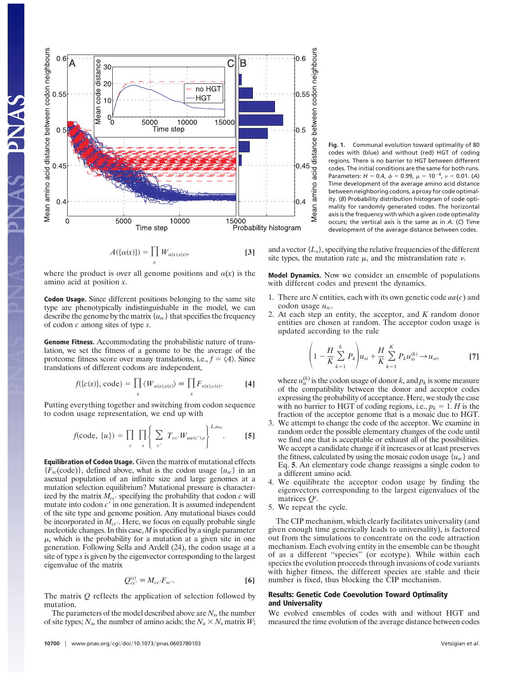

$$
A(\{\alpha(x)\}) = \prod_{x} W_{\alpha(x),s(x)},
$$
 [3]

where the product is over all genome positions and  $\alpha(x)$  is the amino acid at position *x*.

Codon Usage. Since different positions belonging to the same site type are phenotypically indistinguishable in the model, we can describe the genome by the matrix  ${u<sub>sc</sub>}$  that specifies the frequency of codon *c* among sites of type *s*.

Genome Fitness. Accommodating the probabilistic nature of translation, we set the fitness of a genome to be the average of the proteome fitness score over many translations, i.e.,  $f = \langle A \rangle$ . Since translations of different codons are independent,

$$
f({c(x)}, code) = \prod_{x} \langle W_{\alpha(x),s(x)} \rangle \equiv \prod_{x} F_{s(x),c(x)}.
$$
 [4]

Putting everything together and switching from codon sequence to codon usage representation, we end up with

$$
f(\text{code}, \{u\}) = \prod_c \prod_s \left\{ \sum_{c'} T_{cc'} W_{aa(c'),s} \right\}^{L_s u_{sc}}.
$$
 [5]

Equilibration of Codon Usage. Given the matrix of mutational effects  ${F_{sc}(\text{code})}$ , defined above, what is the codon usage  ${u_{sc}}$  in an asexual population of an infinite size and large genomes at a mutation selection equilibrium? Mutational pressure is characterized by the matrix  $M_{cc}$  specifying the probability that codon  $c$  will mutate into codon  $c'$  in one generation. It is assumed independent of the site type and genome position. Any mutational biases could be incorporated in  $M_{cc}$ . Here, we focus on equally probable single nucleotide changes. In this case, *M* is specified by a single parameter  $\mu$ , which is the probability for a mutation at a given site in one generation. Following Sella and Ardell (24), the codon usage at a site of type *s* is given by the eigenvector corresponding to the largest eigenvalue of the matrix

$$
Q_{cc'}^{(s)} \equiv M_{cc'} F_{sc'}.
$$

The matrix *Q* reflects the application of selection followed by mutation.

The parameters of the model described above are *N*s, the number of site types;  $N_a$ , the number of amino acids; the  $N_a \times N_s$  matrix *W*;

**Fig. 1.** Communal evolution toward optimality of 80 codes with (blue) and without (red) HGT of coding regions. There is no barrier to HGT between different codes. The initial conditions are the same for both runs. Parameters:  $H = 0.4$ ,  $\phi = 0.99$ ,  $\mu = 10^{-4}$ ,  $\nu = 0.01$ . (*A*) Time development of the average amino acid distance between neighboring codons, a proxy for code optimality. (*B*) Probability distribution histogram of code optimality for randomly generated codes. The horizontal axis is the frequency with which a given code optimality occurs; the vertical axis is the same as in *A*. (*C*) Time development of the average distance between codes.

and a vector  $\{L_s\}$ , specifying the relative frequencies of the different site types, the mutation rate  $\mu$ , and the mistranslation rate  $\nu$ .

Model Dynamics. Now we consider an ensemble of populations with different codes and present the dynamics.

- 1. There are *N* entities, each with its own genetic code *aa*(*c*) and codon usage *usc*.
- 2. At each step an entity, the acceptor, and *K* random donor entities are chosen at random. The acceptor codon usage is updated according to the rule

$$
\left(1 - \frac{H}{K} \sum_{k=1}^{K} P_k\right) u_{si} + \frac{H}{K} \sum_{k=1}^{K} P_k u_{si}^{(k)} \to u_{si},
$$
 [7]

where  $u_{si}^{(k)}$  is the codon usage of donor *k*, and  $p_k$  is some measure of the compatibility between the donor and acceptor codes expressing the probability of acceptance. Here, we study the case with no barrier to HGT of coding regions, i.e.,  $p_k = 1$ . *H* is the fraction of the acceptor genome that is a mosaic due to HGT.

- 3. We attempt to change the code of the acceptor. We examine in random order the possible elementary changes of the code until we find one that is acceptable or exhaust all of the possibilities. We accept a candidate change if it increases or at least preserves the fitness, calculated by using the mosaic codon usage {*usc*} and Eq. **5**. An elementary code change reassigns a single codon to a different amino acid.
- 4. We equilibrate the acceptor codon usage by finding the eigenvectors corresponding to the largest eigenvalues of the matrices *Q<sup>s</sup>* .
- 5. We repeat the cycle.

The CIP mechanism, which clearly facilitates universality (and given enough time generically leads to universality), is factored out from the simulations to concentrate on the code attraction mechanism. Each evolving entity in the ensemble can be thought of as a different ''species'' (or ecotype). While within each species the evolution proceeds through invasions of code variants with higher fitness, the different species are stable and their number is fixed, thus blocking the CIP mechanism.

### Results: Genetic Code Coevolution Toward Optimality and Universality

We evolved ensembles of codes with and without HGT and measured the time evolution of the average distance between codes